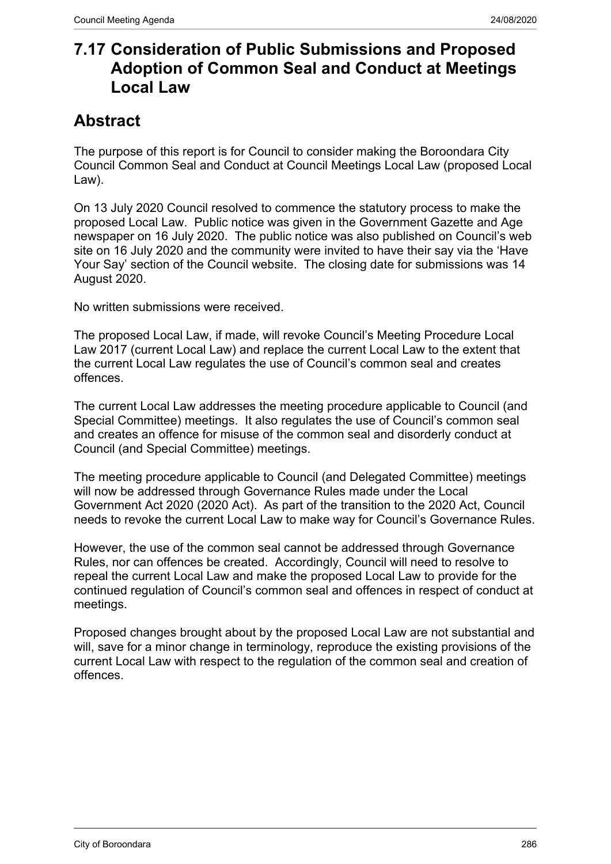## **7.17 Consideration of Public Submissions and Proposed Adoption of Common Seal and Conduct at Meetings Local Law**

## **Abstract**

The purpose of this report is for Council to consider making the Boroondara City Council Common Seal and Conduct at Council Meetings Local Law (proposed Local Law).

On 13 July 2020 Council resolved to commence the statutory process to make the proposed Local Law. Public notice was given in the Government Gazette and Age newspaper on 16 July 2020. The public notice was also published on Council's web site on 16 July 2020 and the community were invited to have their say via the 'Have Your Say' section of the Council website. The closing date for submissions was 14 August 2020.

No written submissions were received.

The proposed Local Law, if made, will revoke Council's Meeting Procedure Local Law 2017 (current Local Law) and replace the current Local Law to the extent that the current Local Law regulates the use of Council's common seal and creates offences.

The current Local Law addresses the meeting procedure applicable to Council (and Special Committee) meetings. It also regulates the use of Council's common seal and creates an offence for misuse of the common seal and disorderly conduct at Council (and Special Committee) meetings.

The meeting procedure applicable to Council (and Delegated Committee) meetings will now be addressed through Governance Rules made under the Local Government Act 2020 (2020 Act). As part of the transition to the 2020 Act, Council needs to revoke the current Local Law to make way for Council's Governance Rules.

However, the use of the common seal cannot be addressed through Governance Rules, nor can offences be created. Accordingly, Council will need to resolve to repeal the current Local Law and make the proposed Local Law to provide for the continued regulation of Council's common seal and offences in respect of conduct at meetings.

Proposed changes brought about by the proposed Local Law are not substantial and will, save for a minor change in terminology, reproduce the existing provisions of the current Local Law with respect to the regulation of the common seal and creation of offences.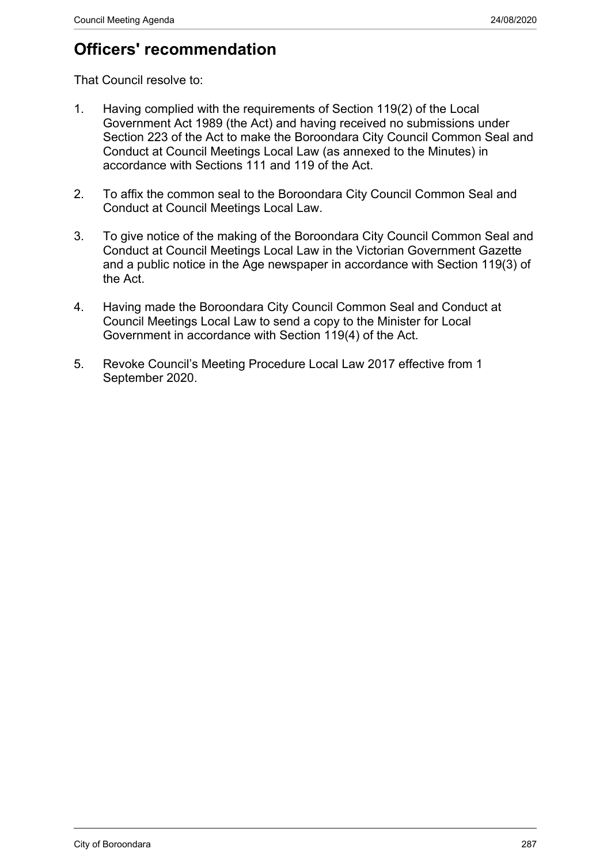## **Officers' recommendation**

That Council resolve to:

- 1. Having complied with the requirements of Section 119(2) of the Local Government Act 1989 (the Act) and having received no submissions under Section 223 of the Act to make the Boroondara City Council Common Seal and Conduct at Council Meetings Local Law (as annexed to the Minutes) in accordance with Sections 111 and 119 of the Act.
- 2. To affix the common seal to the Boroondara City Council Common Seal and Conduct at Council Meetings Local Law.
- 3. To give notice of the making of the Boroondara City Council Common Seal and Conduct at Council Meetings Local Law in the Victorian Government Gazette and a public notice in the Age newspaper in accordance with Section 119(3) of the Act.
- 4. Having made the Boroondara City Council Common Seal and Conduct at Council Meetings Local Law to send a copy to the Minister for Local Government in accordance with Section 119(4) of the Act.
- 5. Revoke Council's Meeting Procedure Local Law 2017 effective from 1 September 2020.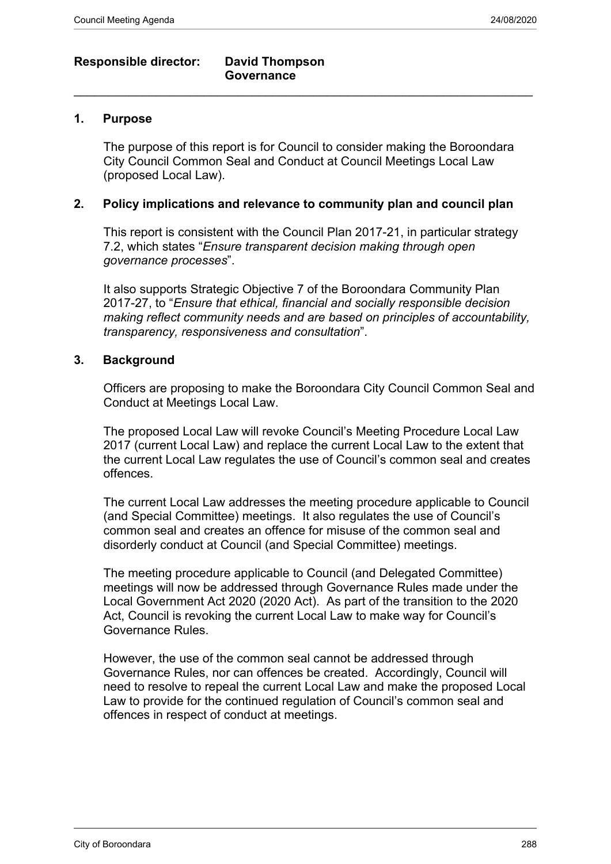## **Responsible director: David Thompson**

# **Governance**

## **1. Purpose**

The purpose of this report is for Council to consider making the Boroondara City Council Common Seal and Conduct at Council Meetings Local Law (proposed Local Law).

 $\_$  , and the set of the set of the set of the set of the set of the set of the set of the set of the set of the set of the set of the set of the set of the set of the set of the set of the set of the set of the set of th

### **2. Policy implications and relevance to community plan and council plan**

This report is consistent with the Council Plan 2017-21, in particular strategy 7.2, which states "*Ensure transparent decision making through open governance processes*".

It also supports Strategic Objective 7 of the Boroondara Community Plan 2017-27, to "*Ensure that ethical, financial and socially responsible decision making reflect community needs and are based on principles of accountability, transparency, responsiveness and consultation*".

### **3. Background**

Officers are proposing to make the Boroondara City Council Common Seal and Conduct at Meetings Local Law.

The proposed Local Law will revoke Council's Meeting Procedure Local Law 2017 (current Local Law) and replace the current Local Law to the extent that the current Local Law regulates the use of Council's common seal and creates offences.

The current Local Law addresses the meeting procedure applicable to Council (and Special Committee) meetings. It also regulates the use of Council's common seal and creates an offence for misuse of the common seal and disorderly conduct at Council (and Special Committee) meetings.

The meeting procedure applicable to Council (and Delegated Committee) meetings will now be addressed through Governance Rules made under the Local Government Act 2020 (2020 Act). As part of the transition to the 2020 Act, Council is revoking the current Local Law to make way for Council's Governance Rules.

However, the use of the common seal cannot be addressed through Governance Rules, nor can offences be created. Accordingly, Council will need to resolve to repeal the current Local Law and make the proposed Local Law to provide for the continued regulation of Council's common seal and offences in respect of conduct at meetings.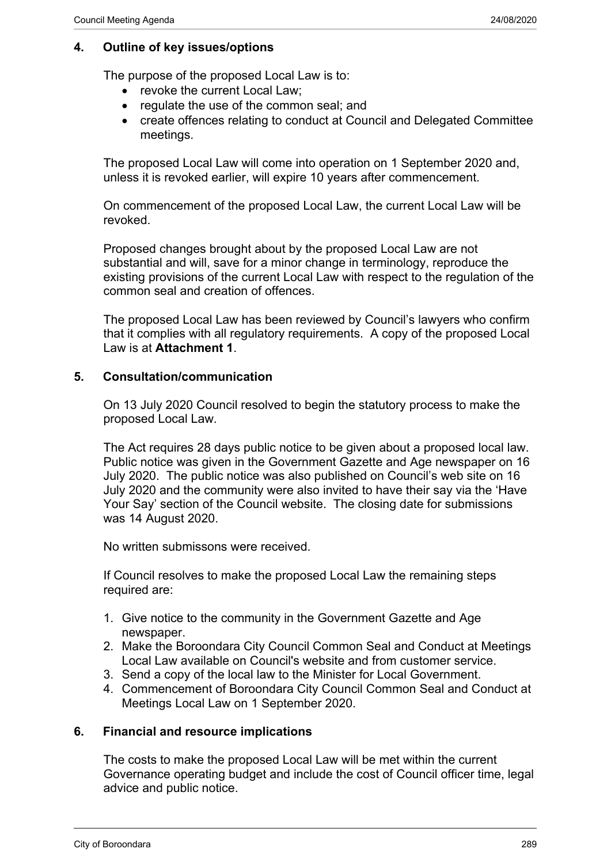## **4. Outline of key issues/options**

The purpose of the proposed Local Law is to:

- revoke the current Local Law:
- regulate the use of the common seal; and
- create offences relating to conduct at Council and Delegated Committee meetings.

The proposed Local Law will come into operation on 1 September 2020 and, unless it is revoked earlier, will expire 10 years after commencement.

On commencement of the proposed Local Law, the current Local Law will be revoked.

Proposed changes brought about by the proposed Local Law are not substantial and will, save for a minor change in terminology, reproduce the existing provisions of the current Local Law with respect to the regulation of the common seal and creation of offences.

The proposed Local Law has been reviewed by Council's lawyers who confirm that it complies with all regulatory requirements. A copy of the proposed Local Law is at **Attachment 1**.

## **5. Consultation/communication**

On 13 July 2020 Council resolved to begin the statutory process to make the proposed Local Law.

The Act requires 28 days public notice to be given about a proposed local law. Public notice was given in the Government Gazette and Age newspaper on 16 July 2020. The public notice was also published on Council's web site on 16 July 2020 and the community were also invited to have their say via the 'Have Your Say' section of the Council website. The closing date for submissions was 14 August 2020.

No written submissons were received.

If Council resolves to make the proposed Local Law the remaining steps required are:

- 1. Give notice to the community in the Government Gazette and Age newspaper.
- 2. Make the Boroondara City Council Common Seal and Conduct at Meetings Local Law available on Council's website and from customer service.
- 3. Send a copy of the local law to the Minister for Local Government.
- 4. Commencement of Boroondara City Council Common Seal and Conduct at Meetings Local Law on 1 September 2020.

## **6. Financial and resource implications**

The costs to make the proposed Local Law will be met within the current Governance operating budget and include the cost of Council officer time, legal advice and public notice.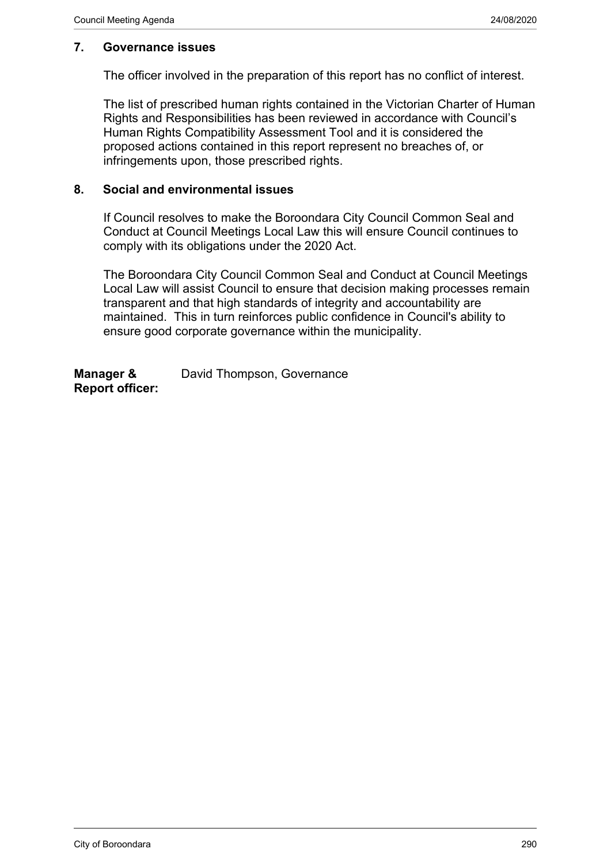## **7. Governance issues**

The officer involved in the preparation of this report has no conflict of interest.

The list of prescribed human rights contained in the Victorian Charter of Human Rights and Responsibilities has been reviewed in accordance with Council's Human Rights Compatibility Assessment Tool and it is considered the proposed actions contained in this report represent no breaches of, or infringements upon, those prescribed rights.

## **8. Social and environmental issues**

If Council resolves to make the Boroondara City Council Common Seal and Conduct at Council Meetings Local Law this will ensure Council continues to comply with its obligations under the 2020 Act.

The Boroondara City Council Common Seal and Conduct at Council Meetings Local Law will assist Council to ensure that decision making processes remain transparent and that high standards of integrity and accountability are maintained. This in turn reinforces public confidence in Council's ability to ensure good corporate governance within the municipality.

**Manager & Report officer:** David Thompson, Governance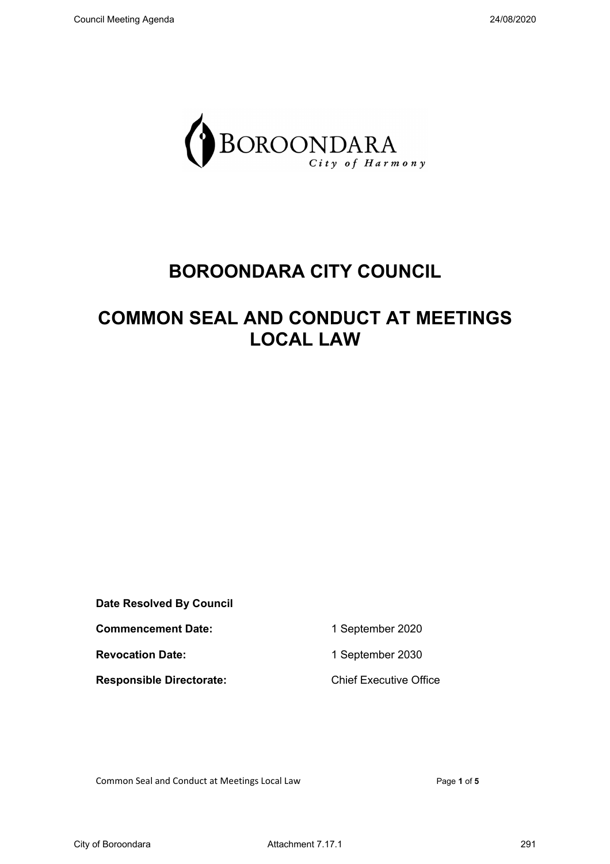

## **BOROONDARA CITY COUNCIL**

## **COMMON SEAL AND CONDUCT AT MEETINGS LOCAL LAW**

**Date Resolved By Council** 

**Commencement Date:** 1 September 2020

**Responsible Directorate: Chief Executive Office** 

**Revocation Date:** 1 September 2030

Common Seal and Conduct at Meetings Local Law **<b>Example 2** Of 5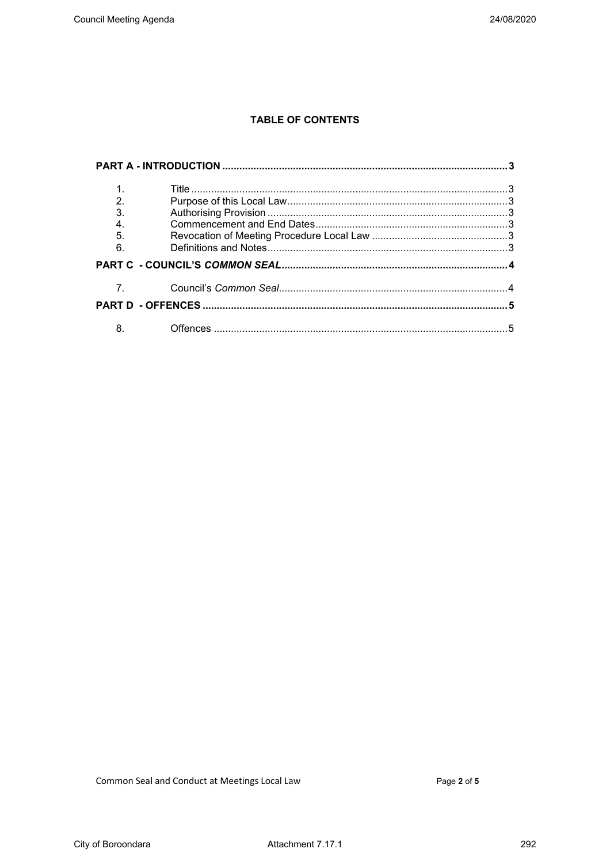## **TABLE OF CONTENTS**

| 1 <sub>1</sub>                   |  |  |
|----------------------------------|--|--|
| 2.                               |  |  |
| 3.                               |  |  |
| 4.                               |  |  |
| 5.                               |  |  |
| 6.                               |  |  |
|                                  |  |  |
| $7 \quad \overline{\phantom{1}}$ |  |  |
|                                  |  |  |
| 8.                               |  |  |

Common Seal and Conduct at Meetings Local Law

Page 2 of 5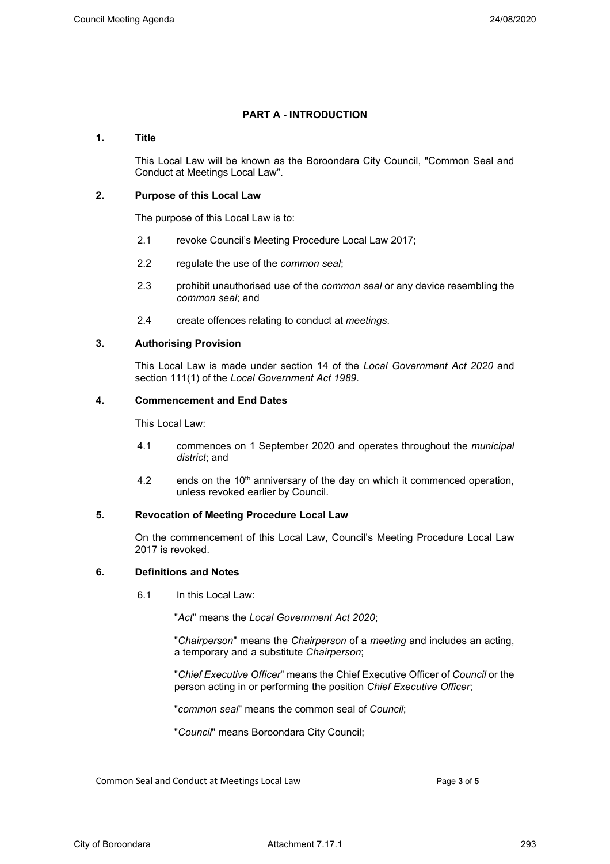### **PART A - INTRODUCTION**

#### **1. Title**

This Local Law will be known as the Boroondara City Council, "Common Seal and Conduct at Meetings Local Law".

#### **2. Purpose of this Local Law**

The purpose of this Local Law is to:

- 2.1 revoke Council's Meeting Procedure Local Law 2017;
- 2.2 regulate the use of the *common seal*;
- 2.3 prohibit unauthorised use of the *common seal* or any device resembling the *common seal*; and
- 2.4 create offences relating to conduct at *meetings*.

### **3. Authorising Provision**

This Local Law is made under section 14 of the *Local Government Act 2020* and section 111(1) of the *Local Government Act 1989*.

#### **4. Commencement and End Dates**

This Local Law:

- 4.1 commences on 1 September 2020 and operates throughout the *municipal district*; and
- 4.2 ends on the  $10<sup>th</sup>$  anniversary of the day on which it commenced operation, unless revoked earlier by Council.

### **5. Revocation of Meeting Procedure Local Law**

On the commencement of this Local Law, Council's Meeting Procedure Local Law 2017 is revoked.

#### **6. Definitions and Notes**

6.1 In this Local Law:

"*Act*" means the *Local Government Act 2020*;

"*Chairperson*" means the *Chairperson* of a *meeting* and includes an acting, a temporary and a substitute *Chairperson*;

"*Chief Executive Officer*" means the Chief Executive Officer of *Council* or the person acting in or performing the position *Chief Executive Officer*;

"*common seal*" means the common seal of *Council*;

"*Council*" means Boroondara City Council;

Common Seal and Conduct at Meetings Local Law Page **3** of **5**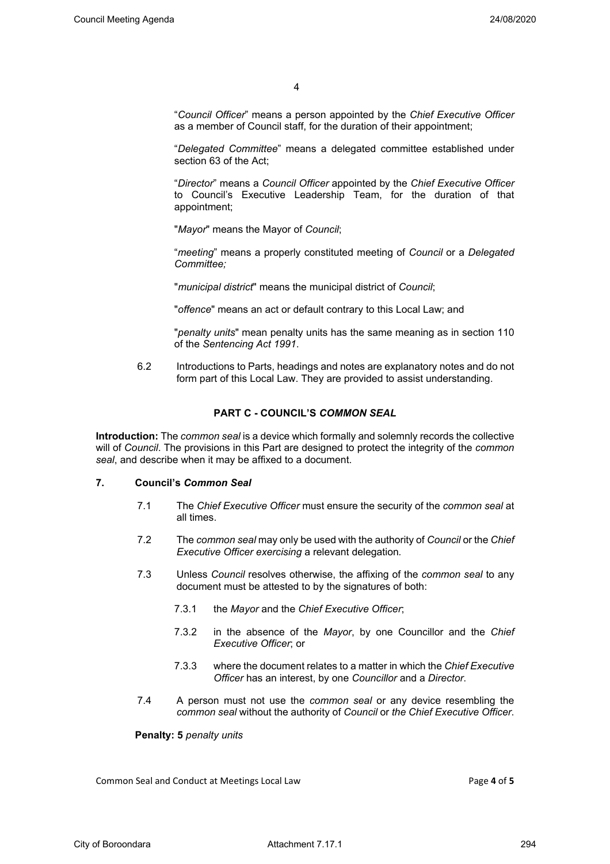"*Council Officer*" means a person appointed by the *Chief Executive Officer* as a member of Council staff, for the duration of their appointment;

"*Delegated Committee*" means a delegated committee established under section 63 of the Act;

"*Director*" means a *Council Officer* appointed by the *Chief Executive Officer*  to Council's Executive Leadership Team, for the duration of that appointment;

"*Mayor*" means the Mayor of *Council*;

"*meeting*" means a properly constituted meeting of *Council* or a *Delegated Committee;*

"*municipal district*" means the municipal district of *Council*;

"*offence*" means an act or default contrary to this Local Law; and

"*penalty units*" mean penalty units has the same meaning as in section 110 of the *Sentencing Act 1991*.

6.2 Introductions to Parts, headings and notes are explanatory notes and do not form part of this Local Law. They are provided to assist understanding.

#### **PART C - COUNCIL'S** *COMMON SEAL*

**Introduction:** The *common seal* is a device which formally and solemnly records the collective will of *Council*. The provisions in this Part are designed to protect the integrity of the *common seal*, and describe when it may be affixed to a document.

#### **7. Council's** *Common Seal*

- 7.1 The *Chief Executive Officer* must ensure the security of the *common seal* at all times.
- 7.2 The *common seal* may only be used with the authority of *Council* or the *Chief Executive Officer exercising* a relevant delegation*.*
- 7.3 Unless *Council* resolves otherwise, the affixing of the *common seal* to any document must be attested to by the signatures of both:
	- 7.3.1 the *Mayor* and the *Chief Executive Officer*;
	- 7.3.2 in the absence of the *Mayor*, by one Councillor and the *Chief Executive Officer*; or
	- 7.3.3 where the document relates to a matter in which the *Chief Executive Officer* has an interest, by one *Councillor* and a *Director*.
- 7.4 A person must not use the *common seal* or any device resembling the *common seal* without the authority of *Council* or *the Chief Executive Officer*.

#### **Penalty: 5** *penalty units*

Common Seal and Conduct at Meetings Local Law Page **4** of **5**